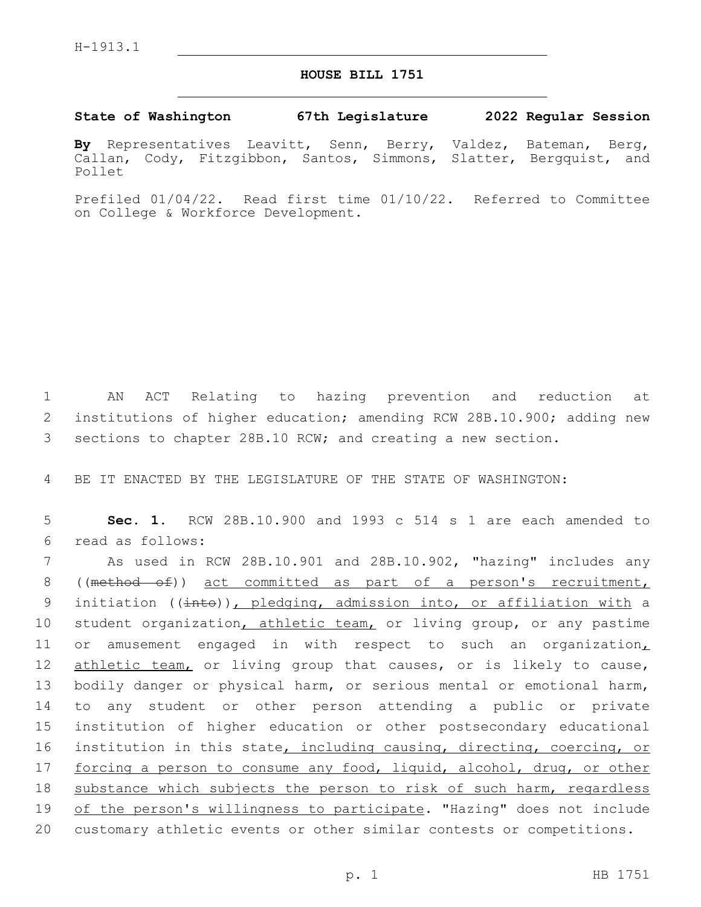## **HOUSE BILL 1751**

## **State of Washington 67th Legislature 2022 Regular Session**

**By** Representatives Leavitt, Senn, Berry, Valdez, Bateman, Berg, Callan, Cody, Fitzgibbon, Santos, Simmons, Slatter, Bergquist, and Pollet

Prefiled 01/04/22. Read first time 01/10/22. Referred to Committee on College & Workforce Development.

1 AN ACT Relating to hazing prevention and reduction at 2 institutions of higher education; amending RCW 28B.10.900; adding new 3 sections to chapter 28B.10 RCW; and creating a new section.

4 BE IT ENACTED BY THE LEGISLATURE OF THE STATE OF WASHINGTON:

5 **Sec. 1.** RCW 28B.10.900 and 1993 c 514 s 1 are each amended to read as follows:6

7 As used in RCW 28B.10.901 and 28B.10.902, "hazing" includes any 8 ((method of)) act committed as part of a person's recruitment, 9 initiation (( $\frac{1}{1}$ ), pledging, admission into, or affiliation with a 10 student organization, athletic team, or living group, or any pastime 11 or amusement engaged in with respect to such an organization, 12 athletic team, or living group that causes, or is likely to cause, 13 bodily danger or physical harm, or serious mental or emotional harm, 14 to any student or other person attending a public or private 15 institution of higher education or other postsecondary educational 16 institution in this state, including causing, directing, coercing, or 17 forcing a person to consume any food, liquid, alcohol, drug, or other 18 substance which subjects the person to risk of such harm, regardless 19 of the person's willingness to participate. "Hazing" does not include 20 customary athletic events or other similar contests or competitions.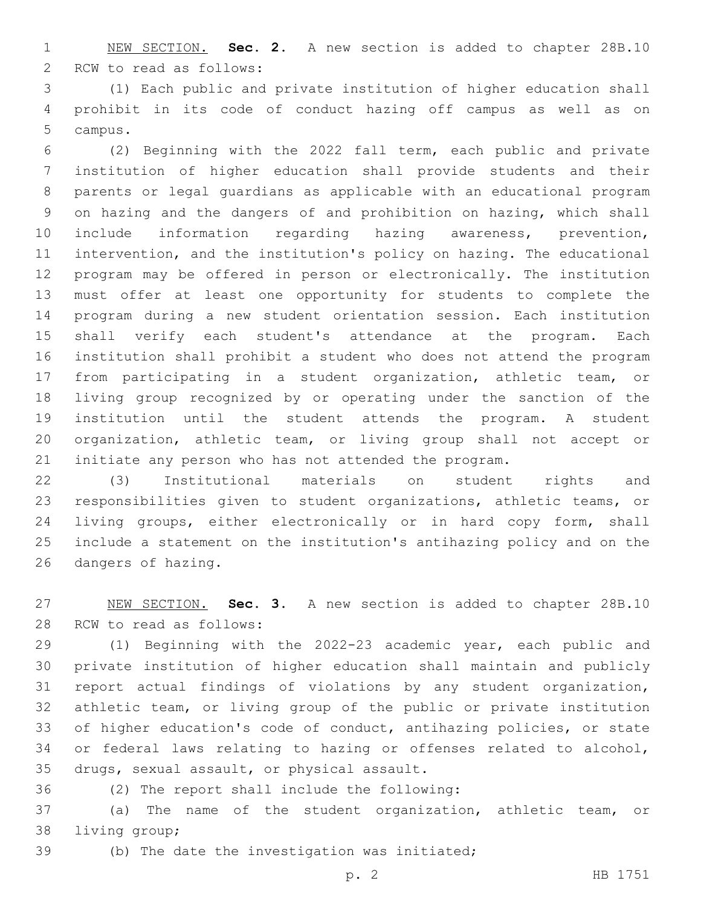NEW SECTION. **Sec. 2.** A new section is added to chapter 28B.10 2 RCW to read as follows:

 (1) Each public and private institution of higher education shall prohibit in its code of conduct hazing off campus as well as on 5 campus.

 (2) Beginning with the 2022 fall term, each public and private institution of higher education shall provide students and their parents or legal guardians as applicable with an educational program on hazing and the dangers of and prohibition on hazing, which shall include information regarding hazing awareness, prevention, intervention, and the institution's policy on hazing. The educational program may be offered in person or electronically. The institution must offer at least one opportunity for students to complete the program during a new student orientation session. Each institution shall verify each student's attendance at the program. Each institution shall prohibit a student who does not attend the program from participating in a student organization, athletic team, or living group recognized by or operating under the sanction of the institution until the student attends the program. A student organization, athletic team, or living group shall not accept or initiate any person who has not attended the program.

 (3) Institutional materials on student rights and responsibilities given to student organizations, athletic teams, or living groups, either electronically or in hard copy form, shall include a statement on the institution's antihazing policy and on the 26 dangers of hazing.

 NEW SECTION. **Sec. 3.** A new section is added to chapter 28B.10 28 RCW to read as follows:

 (1) Beginning with the 2022-23 academic year, each public and private institution of higher education shall maintain and publicly report actual findings of violations by any student organization, athletic team, or living group of the public or private institution of higher education's code of conduct, antihazing policies, or state or federal laws relating to hazing or offenses related to alcohol, 35 drugs, sexual assault, or physical assault.

(2) The report shall include the following:36

 (a) The name of the student organization, athletic team, or 38 living group;

39 (b) The date the investigation was initiated;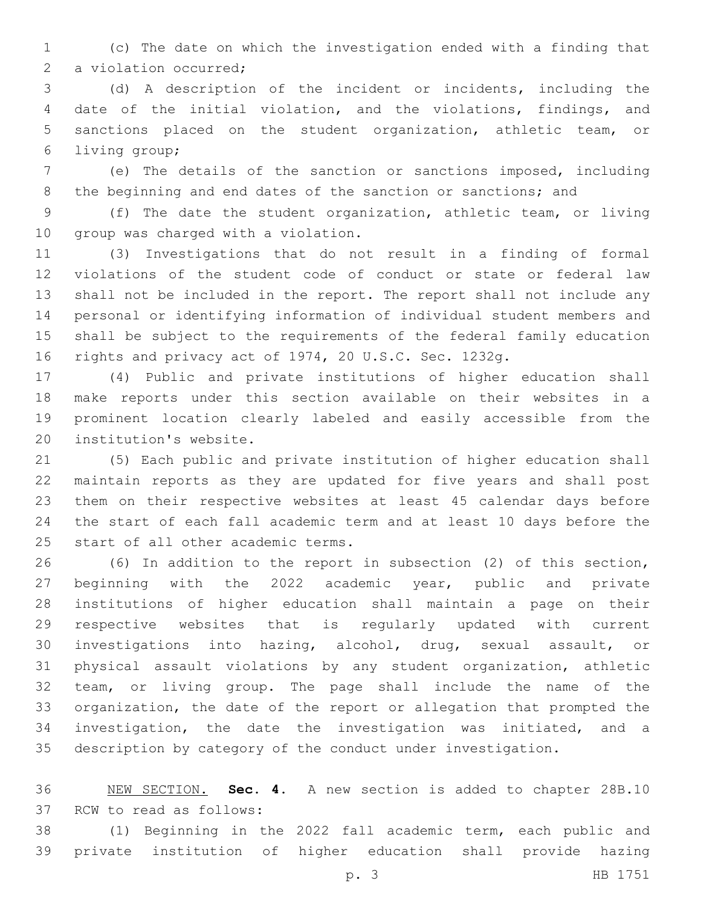(c) The date on which the investigation ended with a finding that 2 a violation occurred;

 (d) A description of the incident or incidents, including the date of the initial violation, and the violations, findings, and sanctions placed on the student organization, athletic team, or 6 living group;

 (e) The details of the sanction or sanctions imposed, including 8 the beginning and end dates of the sanction or sanctions; and

 (f) The date the student organization, athletic team, or living 10 group was charged with a violation.

 (3) Investigations that do not result in a finding of formal violations of the student code of conduct or state or federal law shall not be included in the report. The report shall not include any personal or identifying information of individual student members and shall be subject to the requirements of the federal family education rights and privacy act of 1974, 20 U.S.C. Sec. 1232g.

 (4) Public and private institutions of higher education shall make reports under this section available on their websites in a prominent location clearly labeled and easily accessible from the 20 institution's website.

 (5) Each public and private institution of higher education shall maintain reports as they are updated for five years and shall post them on their respective websites at least 45 calendar days before the start of each fall academic term and at least 10 days before the 25 start of all other academic terms.

 (6) In addition to the report in subsection (2) of this section, beginning with the 2022 academic year, public and private institutions of higher education shall maintain a page on their respective websites that is regularly updated with current investigations into hazing, alcohol, drug, sexual assault, or physical assault violations by any student organization, athletic team, or living group. The page shall include the name of the organization, the date of the report or allegation that prompted the investigation, the date the investigation was initiated, and a description by category of the conduct under investigation.

 NEW SECTION. **Sec. 4.** A new section is added to chapter 28B.10 37 RCW to read as follows:

 (1) Beginning in the 2022 fall academic term, each public and private institution of higher education shall provide hazing

p. 3 HB 1751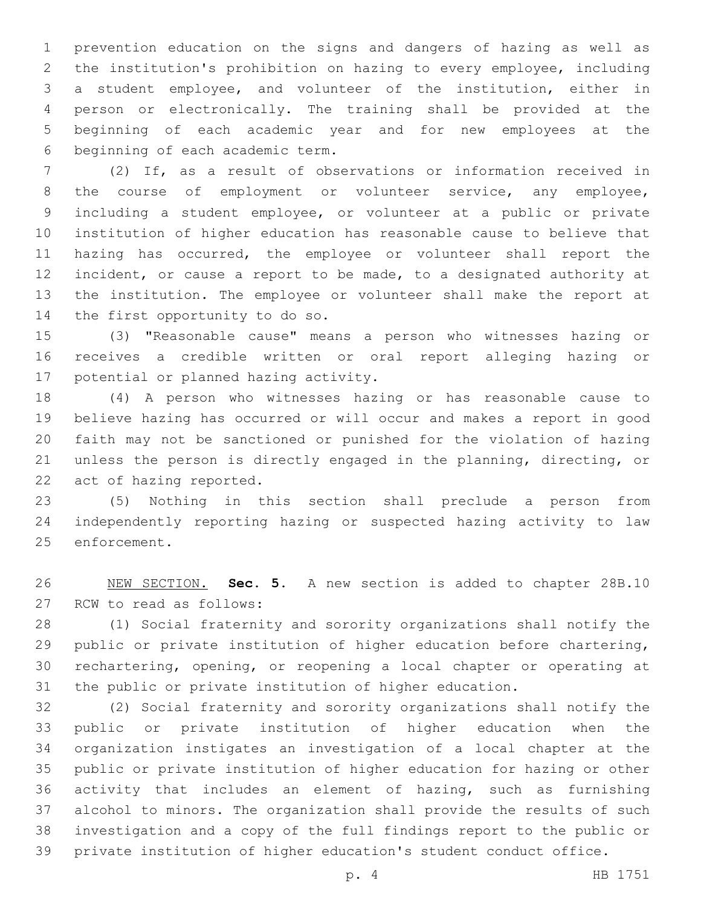prevention education on the signs and dangers of hazing as well as the institution's prohibition on hazing to every employee, including a student employee, and volunteer of the institution, either in person or electronically. The training shall be provided at the beginning of each academic year and for new employees at the 6 beginning of each academic term.

 (2) If, as a result of observations or information received in 8 the course of employment or volunteer service, any employee, including a student employee, or volunteer at a public or private institution of higher education has reasonable cause to believe that hazing has occurred, the employee or volunteer shall report the incident, or cause a report to be made, to a designated authority at the institution. The employee or volunteer shall make the report at 14 the first opportunity to do so.

 (3) "Reasonable cause" means a person who witnesses hazing or receives a credible written or oral report alleging hazing or 17 potential or planned hazing activity.

 (4) A person who witnesses hazing or has reasonable cause to believe hazing has occurred or will occur and makes a report in good faith may not be sanctioned or punished for the violation of hazing unless the person is directly engaged in the planning, directing, or 22 act of hazing reported.

 (5) Nothing in this section shall preclude a person from independently reporting hazing or suspected hazing activity to law 25 enforcement.

 NEW SECTION. **Sec. 5.** A new section is added to chapter 28B.10 27 RCW to read as follows:

 (1) Social fraternity and sorority organizations shall notify the public or private institution of higher education before chartering, rechartering, opening, or reopening a local chapter or operating at the public or private institution of higher education.

 (2) Social fraternity and sorority organizations shall notify the public or private institution of higher education when the organization instigates an investigation of a local chapter at the public or private institution of higher education for hazing or other activity that includes an element of hazing, such as furnishing alcohol to minors. The organization shall provide the results of such investigation and a copy of the full findings report to the public or private institution of higher education's student conduct office.